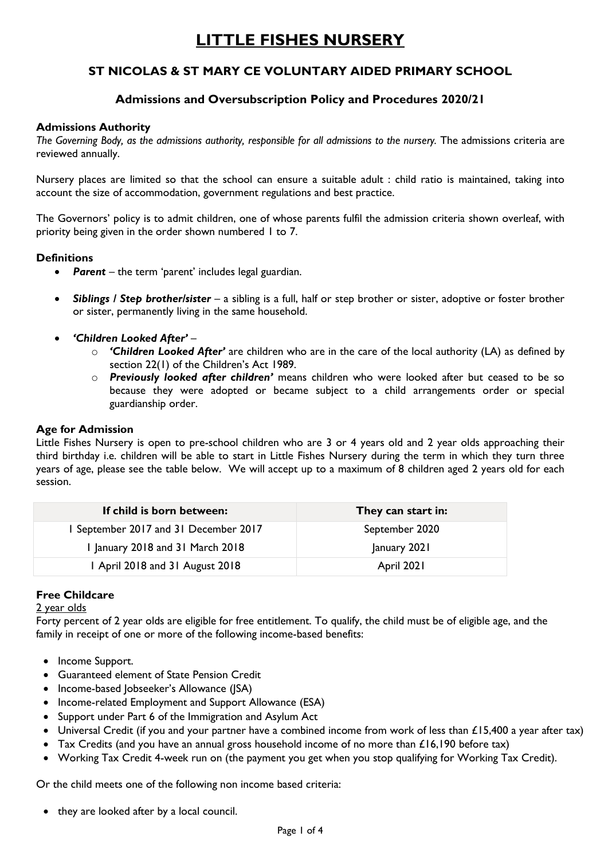# **LITTLE FISHES NURSERY**

# **ST NICOLAS & ST MARY CE VOLUNTARY AIDED PRIMARY SCHOOL**

# **Admissions and Oversubscription Policy and Procedures 2020/21**

#### **Admissions Authority**

*The Governing Body, as the admissions authority, responsible for all admissions to the nursery.* The admissions criteria are reviewed annually.

Nursery places are limited so that the school can ensure a suitable adult : child ratio is maintained, taking into account the size of accommodation, government regulations and best practice.

The Governors' policy is to admit children, one of whose parents fulfil the admission criteria shown overleaf, with priority being given in the order shown numbered 1 to 7.

#### **Definitions**

- *Parent* the term 'parent' includes legal guardian.
- *Siblings / Step brother/sister* a sibling is a full, half or step brother or sister, adoptive or foster brother or sister, permanently living in the same household.
- *'Children Looked After' –*
	- o *'Children Looked After'* are children who are in the care of the local authority (LA) as defined by section 22(1) of the Children's Act 1989.
	- o *Previously looked after children'* means children who were looked after but ceased to be so because they were adopted or became subject to a child arrangements order or special guardianship order.

#### **Age for Admission**

Little Fishes Nursery is open to pre-school children who are 3 or 4 years old and 2 year olds approaching their third birthday i.e. children will be able to start in Little Fishes Nursery during the term in which they turn three years of age, please see the table below. We will accept up to a maximum of 8 children aged 2 years old for each session.

| If child is born between:             | They can start in: |
|---------------------------------------|--------------------|
| 1 September 2017 and 31 December 2017 | September 2020     |
| I January 2018 and 31 March 2018      | January 2021       |
| 1 April 2018 and 31 August 2018       | April 2021         |

## **Free Childcare**

#### 2 year olds

Forty percent of 2 year olds are eligible for free entitlement. To qualify, the child must be of eligible age, and the family in receipt of one or more of the following income-based benefits:

- Income Support.
- Guaranteed element of State Pension Credit
- Income-based Jobseeker's Allowance (JSA)
- Income-related Employment and Support Allowance (ESA)
- Support under Part 6 of the Immigration and Asylum Act
- Universal Credit (if you and your partner have a combined income from work of less than £15,400 a year after tax)
- Tax Credits (and you have an annual gross household income of no more than £16,190 before tax)
- Working Tax Credit 4-week run on (the payment you get when you stop qualifying for Working Tax Credit).

Or the child meets one of the following non income based criteria:

• they are looked after by a local council.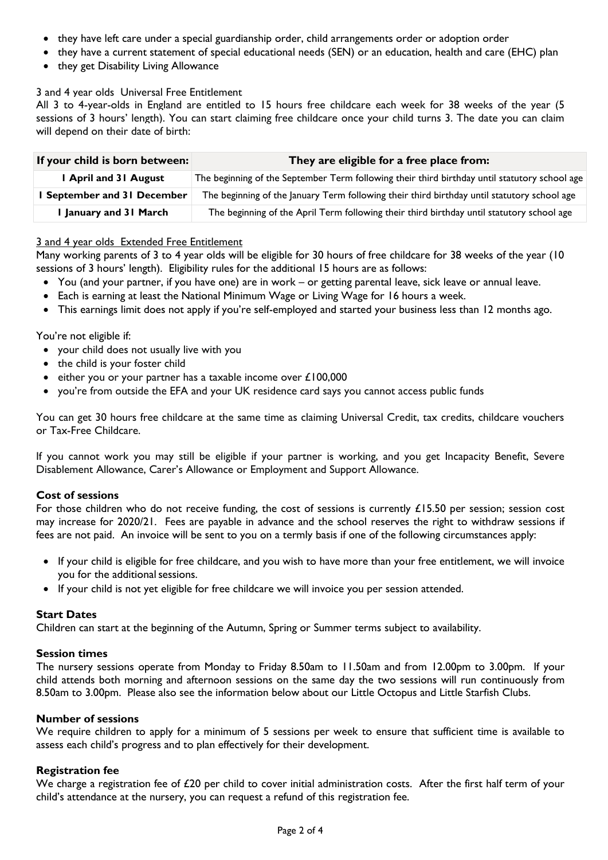- they have left care under a special guardianship order, child arrangements order or adoption order
- they have a current statement of special educational needs (SEN) or an education, health and care (EHC) plan
- they get Disability Living Allowance

#### 3 and 4 year olds Universal Free Entitlement

All 3 to 4-year-olds in England are entitled to 15 hours free childcare each week for 38 weeks of the year (5 sessions of 3 hours' length). You can start claiming free childcare once your child turns 3. The date you can claim will depend on their date of birth:

| If your child is born between: | They are eligible for a free place from:                                                      |
|--------------------------------|-----------------------------------------------------------------------------------------------|
| I April and 31 August          | The beginning of the September Term following their third birthday until statutory school age |
| September and 31 December      | The beginning of the January Term following their third birthday until statutory school age   |
| January and 31 March           | The beginning of the April Term following their third birthday until statutory school age     |

#### 3 and 4 year olds Extended Free Entitlement

Many working parents of 3 to 4 year olds will be eligible for 30 hours of free childcare for 38 weeks of the year (10 sessions of 3 hours' length). Eligibility rules for the additional 15 hours are as follows:

- You (and your partner, if you have one) are in work or getting parental leave, sick leave or annual leave.
- Each is earning at least the National Minimum Wage or Living Wage for 16 hours a week.
- This earnings limit does not apply if you're self-employed and started your business less than 12 months ago.

#### You're not eligible if:

- your child does not usually live with you
- the child is your foster child
- either you or your partner has a taxable income over  $£100,000$
- you're from outside the EFA and your UK residence card says you cannot access public funds

You can get 30 hours free childcare at the same time as claiming Universal Credit, tax credits, childcare vouchers or Tax-Free Childcare.

If you cannot work you may still be eligible if your partner is working, and you get Incapacity Benefit, Severe Disablement Allowance, Carer's Allowance or Employment and Support Allowance.

#### **Cost of sessions**

For those children who do not receive funding, the cost of sessions is currently £15.50 per session; session cost may increase for 2020/21. Fees are payable in advance and the school reserves the right to withdraw sessions if fees are not paid. An invoice will be sent to you on a termly basis if one of the following circumstances apply:

- If your child is eligible for free childcare, and you wish to have more than your free entitlement, we will invoice you for the additional sessions.
- If your child is not yet eligible for free childcare we will invoice you per session attended.

#### **Start Dates**

Children can start at the beginning of the Autumn, Spring or Summer terms subject to availability.

#### **Session times**

The nursery sessions operate from Monday to Friday 8.50am to 11.50am and from 12.00pm to 3.00pm. If your child attends both morning and afternoon sessions on the same day the two sessions will run continuously from 8.50am to 3.00pm. Please also see the information below about our Little Octopus and Little Starfish Clubs.

#### **Number of sessions**

We require children to apply for a minimum of 5 sessions per week to ensure that sufficient time is available to assess each child's progress and to plan effectively for their development.

#### **Registration fee**

We charge a registration fee of £20 per child to cover initial administration costs. After the first half term of your child's attendance at the nursery, you can request a refund of this registration fee.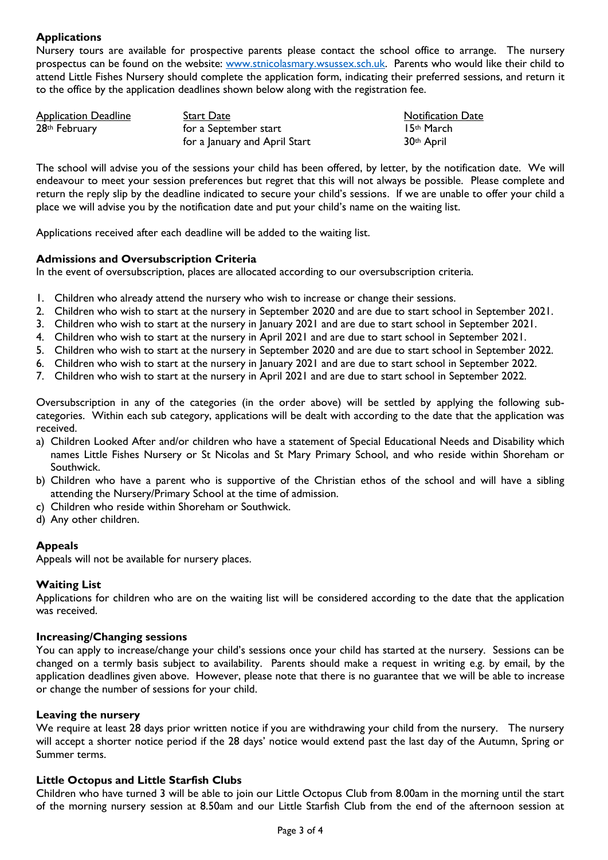# **Applications**

Nursery tours are available for prospective parents please contact the school office to arrange. The nursery prospectus can be found on the website: [www.stnicolasmary.wsussex.sch.uk.](http://www.stnicolasmary.wsussex.sch.uk/) Parents who would like their child to attend Little Fishes Nursery should complete the application form, indicating their preferred sessions, and return it to the office by the application deadlines shown below along with the registration fee.

| <b>Application Deadline</b> | Start Date                    | <b>Notification Date</b> |
|-----------------------------|-------------------------------|--------------------------|
| 28 <sup>th</sup> February   | for a September start         | 15th March               |
|                             | for a January and April Start | 30 <sup>th</sup> April   |

The school will advise you of the sessions your child has been offered, by letter, by the notification date. We will endeavour to meet your session preferences but regret that this will not always be possible. Please complete and return the reply slip by the deadline indicated to secure your child's sessions. If we are unable to offer your child a place we will advise you by the notification date and put your child's name on the waiting list.

Applications received after each deadline will be added to the waiting list.

#### **Admissions and Oversubscription Criteria**

In the event of oversubscription, places are allocated according to our oversubscription criteria.

- 1. Children who already attend the nursery who wish to increase or change their sessions.
- 2. Children who wish to start at the nursery in September 2020 and are due to start school in September 2021.
- 3. Children who wish to start at the nursery in January 2021 and are due to start school in September 2021.
- 4. Children who wish to start at the nursery in April 2021 and are due to start school in September 2021.
- 5. Children who wish to start at the nursery in September 2020 and are due to start school in September 2022.
- 6. Children who wish to start at the nursery in January 2021 and are due to start school in September 2022.
- 7. Children who wish to start at the nursery in April 2021 and are due to start school in September 2022.

Oversubscription in any of the categories (in the order above) will be settled by applying the following subcategories. Within each sub category, applications will be dealt with according to the date that the application was received.

- a) Children Looked After and/or children who have a statement of Special Educational Needs and Disability which names Little Fishes Nursery or St Nicolas and St Mary Primary School, and who reside within Shoreham or Southwick.
- b) Children who have a parent who is supportive of the Christian ethos of the school and will have a sibling attending the Nursery/Primary School at the time of admission.
- c) Children who reside within Shoreham or Southwick.
- d) Any other children.

## **Appeals**

Appeals will not be available for nursery places.

#### **Waiting List**

Applications for children who are on the waiting list will be considered according to the date that the application was received.

#### **Increasing/Changing sessions**

You can apply to increase/change your child's sessions once your child has started at the nursery. Sessions can be changed on a termly basis subject to availability. Parents should make a request in writing e.g. by email, by the application deadlines given above. However, please note that there is no guarantee that we will be able to increase or change the number of sessions for your child.

#### **Leaving the nursery**

We require at least 28 days prior written notice if you are withdrawing your child from the nursery. The nursery will accept a shorter notice period if the 28 days' notice would extend past the last day of the Autumn, Spring or Summer terms.

#### **Little Octopus and Little Starfish Clubs**

Children who have turned 3 will be able to join our Little Octopus Club from 8.00am in the morning until the start of the morning nursery session at 8.50am and our Little Starfish Club from the end of the afternoon session at